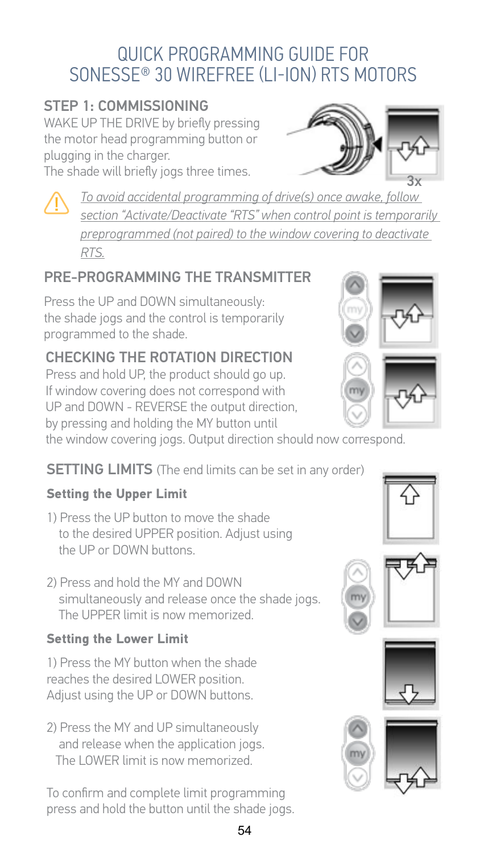### QUICK PROGRAMMING GUIDE FOR SONESSE® 30 WIREFREE (I I-ION) RTS MOTORS

#### **STEP 1: COMMISSIONING**

WAKE UP THE DRIVE by briefly pressing the motor head programming button or plugging in the charger. The shade will briefly jogs three times.

To avoid accidental programming of drive(s) once awake, follow

section "Activate/Deactivate "RTS" when control point is temporarily preprogrammed (not paired) to the window covering to deactivate RTS.

#### PRE-PROGRAMMING THE TRANSMITTER

Press the UP and DOWN simultaneously: the shade jogs and the control is temporarily programmed to the shade.

#### CHECKING THE ROTATION DIRECTION

Press and hold UP, the product should go up. If window covering does not correspond with UP and DOWN - REVERSE the output direction. by pressing and holding the MY button until

the window covering jogs. Output direction should now correspond.

#### **SETTING LIMITS** (The end limits can be set in any order)

#### **Setting the Upper Limit**

- 1) Press the UP button to move the shade to the desired UPPER position. Adjust using the UP or DOWN buttons
- 2) Press and hold the MY and DOWN simultaneously and release once the shade jogs. The UPPER limit is now memorized

#### **Setting the Lower Limit**

1) Press the MY button when the shade reaches the desired LOWER position. Adjust using the UP or DOWN buttons.

2) Press the MY and UP simultaneously and release when the application jogs. The LOWER limit is now memorized.

To confirm and complete limit programming press and hold the button until the shade jogs.





















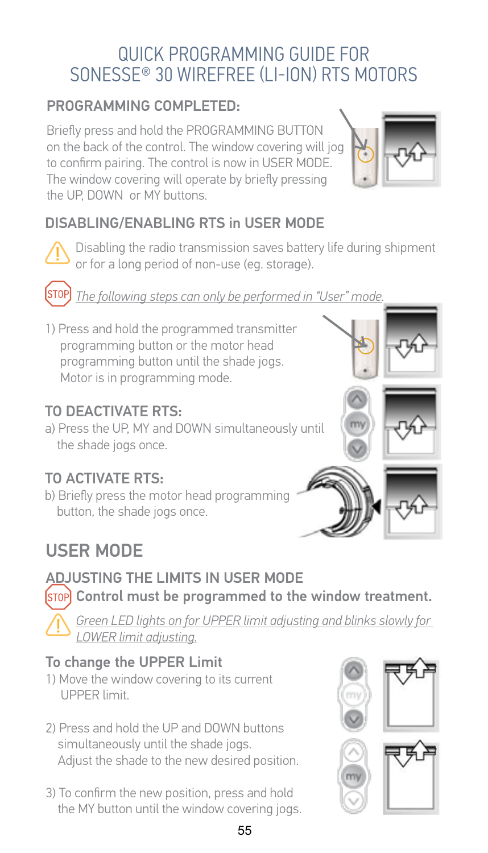### QUICK PROGRAMMING GUIDE FOR SONESSE® 30 WIREFREE (I I-ION) RTS MOTORS

#### PROGRAMMING COMPLETED:

Briefly press and hold the PROGRAMMING BUTTON on the back of the control. The window covering will jog to confirm pairing. The control is now in USER MODE. The window covering will operate by briefly pressing the UP. DOWN or MY buttons.



### DISABLING/ENABLING RTS in USER MODE





The following steps can only be performed in "User" mode.

1) Press and hold the programmed transmitter programming button or the motor head programming button until the shade jogs. Motor is in programming mode.

#### TO DEACTIVATE RTS:

a) Press the UP, MY and DOWN simultaneously until the shade jogs once.

#### TO ACTIVATE RTS:

b) Briefly press the motor head programming button, the shade jogs once.



# ADJUSTING THE LIMITS IN USER MODE

(STOP) Control must be programmed to the window treatment.

Green LED lights on for UPPER limit adjusting and blinks slowly for LOWER limit adjusting.

#### To change the UPPER Limit

- 1) Move the window covering to its current **UPPER limit**
- 2) Press and hold the UP and DOWN buttons simultaneously until the shade jogs. Adjust the shade to the new desired position.
- 3) To confirm the new position, press and hold the MY button until the window covering jogs.

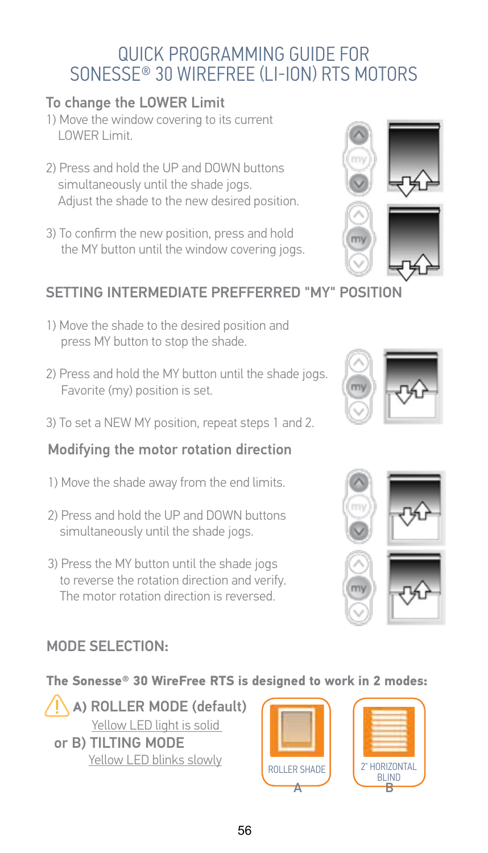### QUICK PROGRAMMING GUIDE FOR SONESSE<sup>®</sup> 30 WIREFREE (I I-ION) RTS MOTORS

#### To change the LOWER Limit

- 1) Move the window covering to its current LOWER Limit.
- 2) Press and hold the UP and DOWN buttons simultaneously until the shade jogs. Adjust the shade to the new desired position.
- 3) To confirm the new position, press and hold the MY button until the window covering jogs.



#### SETTING INTERMEDIATE PREFEERRED "MY" POSITION

- 1) Move the shade to the desired position and press MY button to stop the shade.
- 2) Press and hold the MY button until the shade jogs. Favorite (mv) position is set.
- 3) To set a NEW MY position, repeat steps 1 and 2.

#### Modifying the motor rotation direction

- 1) Move the shade away from the end limits.
- 2) Press and hold the UP and DOWN buttons simultaneously until the shade jogs.
- 3) Press the MY button until the shade jogs to reverse the rotation direction and verify. The motor rotation direction is reversed.

#### MODE SELECTION:

#### The Sonesse® 30 WireFree RTS is designed to work in 2 modes:

A) ROLLER MODE (default) Yellow LED light is solid or B) TILTING MODE Yellow LED blinks slowly





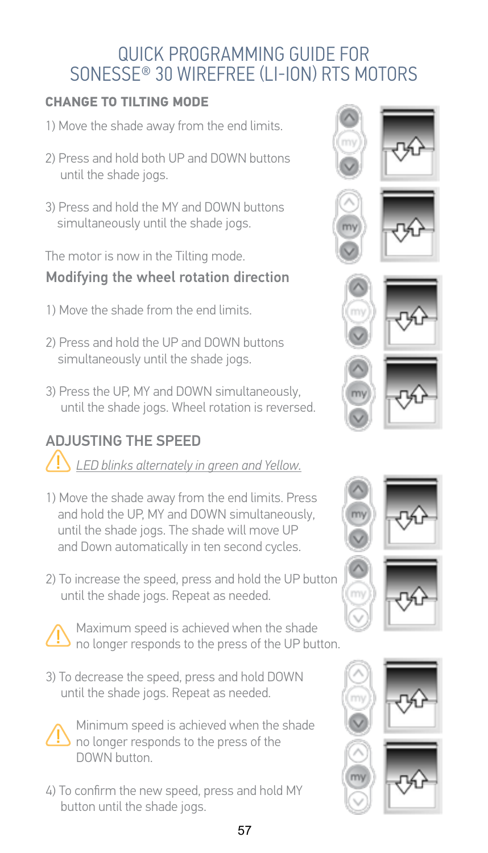### QUICK PROGRAMMING GUIDE FOR SONESSE<sup>®</sup> 30 WIREFREE (I I-ION) RTS MOTORS

#### **CHANGE TO TILTING MODE**

- 1) Move the shade away from the end limits.
- 2) Press and hold both UP and DOWN buttons until the shade jogs.
- 3) Press and hold the MY and DOWN buttons simultaneously until the shade jogs.

The motor is now in the Tilting mode.

### Modifying the wheel rotation direction

- 1) Move the shade from the end limits
- 2) Press and hold the UP and DOWN buttons simultaneously until the shade jogs.
- 3) Press the UP, MY and DOWN simultaneously, until the shade jogs. Wheel rotation is reversed.

## **ADJUSTING THE SPEED**

LED blinks alternately in areen and Yellow.

- 1) Move the shade away from the end limits. Press and hold the UP, MY and DOWN simultaneously, until the shade jogs. The shade will move UP and Down automatically in ten second cycles.
- 2) To increase the speed, press and hold the UP button until the shade jogs. Repeat as needed.



Maximum speed is achieved when the shade no longer responds to the press of the UP button.

3) To decrease the speed, press and hold DOWN until the shade jogs. Repeat as needed.



Minimum speed is achieved when the shade no longer responds to the press of the DOWN button.

4) To confirm the new speed, press and hold MY button until the shade jogs.

































57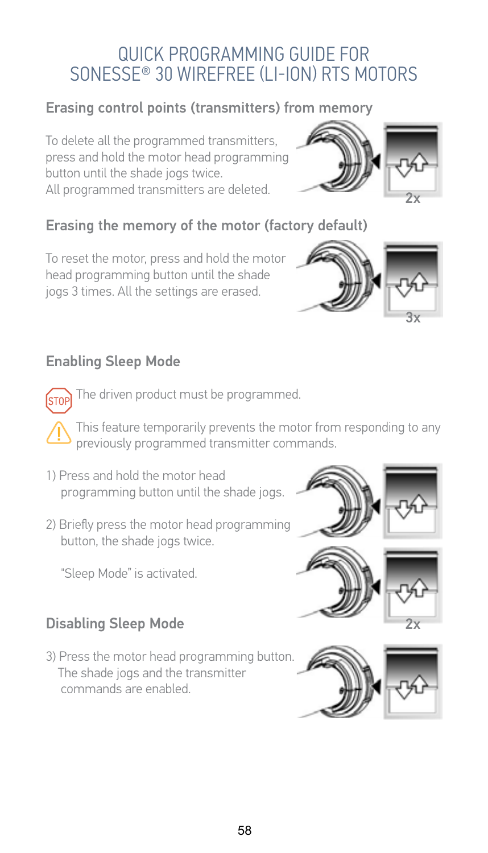### QUICK PROGRAMMING GUIDE FOR SONESSE<sup>®</sup> 30 WIREEREE (I I-ION) RTS MOTORS

#### Erasing control points (transmitters) from memory

To delete all the programmed transmitters, press and hold the motor head programming button until the shade jogs twice. All programmed transmitters are deleted.

#### Erasing the memory of the motor (factory default)

To reset the motor, press and hold the motor head programming button until the shade jogs 3 times. All the settings are erased.

#### **Enabling Sleep Mode**

STOP

The driven product must be programmed.

This feature temporarily prevents the motor from responding to any previously programmed transmitter commands.

- 1) Press and hold the motor head programming button until the shade jogs.
- 2) Briefly press the motor head programming button, the shade jogs twice.

"Sleep Mode" is activated.

#### **Disabling Sleep Mode**

3) Press the motor head programming button. The shade jogs and the transmitter commands are enabled